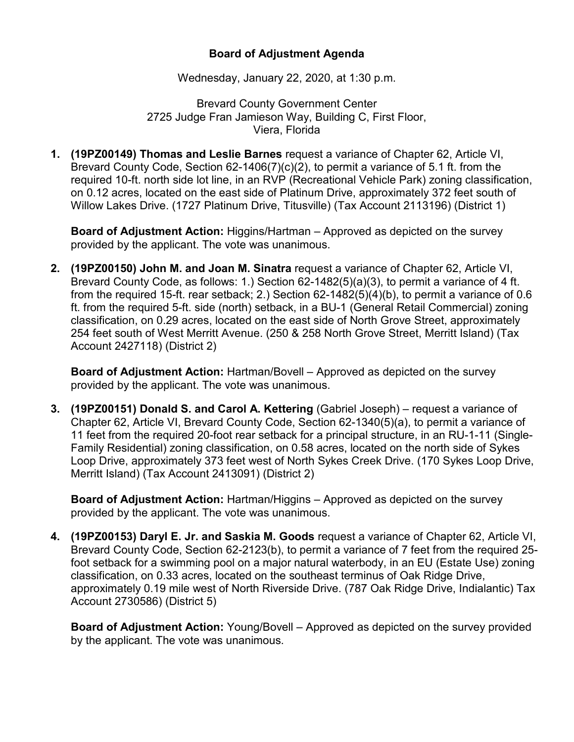## **Board of Adjustment Agenda**

Wednesday, January 22, 2020, at 1:30 p.m.

Brevard County Government Center 2725 Judge Fran Jamieson Way, Building C, First Floor, Viera, Florida

**1. (19PZ00149) Thomas and Leslie Barnes** request a variance of Chapter 62, Article VI, Brevard County Code, Section 62-1406(7)(c)(2), to permit a variance of 5.1 ft. from the required 10-ft. north side lot line, in an RVP (Recreational Vehicle Park) zoning classification, on 0.12 acres, located on the east side of Platinum Drive, approximately 372 feet south of Willow Lakes Drive. (1727 Platinum Drive, Titusville) (Tax Account 2113196) (District 1)

**Board of Adjustment Action:** Higgins/Hartman – Approved as depicted on the survey provided by the applicant. The vote was unanimous.

**2. (19PZ00150) John M. and Joan M. Sinatra** request a variance of Chapter 62, Article VI, Brevard County Code, as follows: 1.) Section 62-1482(5)(a)(3), to permit a variance of 4 ft. from the required 15-ft. rear setback; 2.) Section 62-1482(5)(4)(b), to permit a variance of 0.6 ft. from the required 5-ft. side (north) setback, in a BU-1 (General Retail Commercial) zoning classification, on 0.29 acres, located on the east side of North Grove Street, approximately 254 feet south of West Merritt Avenue. (250 & 258 North Grove Street, Merritt Island) (Tax Account 2427118) (District 2)

**Board of Adjustment Action:** Hartman/Bovell – Approved as depicted on the survey provided by the applicant. The vote was unanimous.

**3. (19PZ00151) Donald S. and Carol A. Kettering** (Gabriel Joseph) – request a variance of Chapter 62, Article VI, Brevard County Code, Section 62-1340(5)(a), to permit a variance of 11 feet from the required 20-foot rear setback for a principal structure, in an RU-1-11 (Single-Family Residential) zoning classification, on 0.58 acres, located on the north side of Sykes Loop Drive, approximately 373 feet west of North Sykes Creek Drive. (170 Sykes Loop Drive, Merritt Island) (Tax Account 2413091) (District 2)

**Board of Adjustment Action:** Hartman/Higgins – Approved as depicted on the survey provided by the applicant. The vote was unanimous.

**4. (19PZ00153) Daryl E. Jr. and Saskia M. Goods** request a variance of Chapter 62, Article VI, Brevard County Code, Section 62-2123(b), to permit a variance of 7 feet from the required 25 foot setback for a swimming pool on a major natural waterbody, in an EU (Estate Use) zoning classification, on 0.33 acres, located on the southeast terminus of Oak Ridge Drive, approximately 0.19 mile west of North Riverside Drive. (787 Oak Ridge Drive, Indialantic) Tax Account 2730586) (District 5)

**Board of Adjustment Action:** Young/Bovell – Approved as depicted on the survey provided by the applicant. The vote was unanimous.